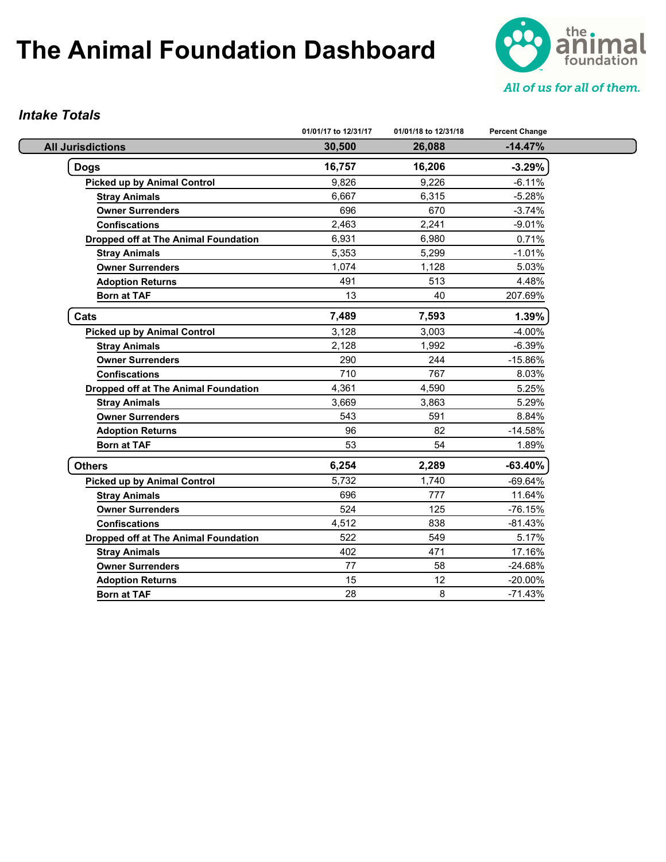

#### *Intake Totals*

|                                             | 01/01/17 to 12/31/17 | 01/01/18 to 12/31/18 | <b>Percent Change</b> |
|---------------------------------------------|----------------------|----------------------|-----------------------|
| <b>All Jurisdictions</b>                    | 30,500               | 26,088               | $-14.47%$             |
| <b>Dogs</b>                                 | 16,757               | 16,206               | $-3.29%$              |
| <b>Picked up by Animal Control</b>          | 9.826                | 9.226                | $-6.11%$              |
| <b>Stray Animals</b>                        | 6,667                | 6,315                | $-5.28%$              |
| <b>Owner Surrenders</b>                     | 696                  | 670                  | $-3.74%$              |
| <b>Confiscations</b>                        | 2,463                | 2,241                | $-9.01%$              |
| Dropped off at The Animal Foundation        | 6,931                | 6,980                | 0.71%                 |
| <b>Stray Animals</b>                        | 5,353                | 5,299                | $-1.01%$              |
| <b>Owner Surrenders</b>                     | 1,074                | 1,128                | 5.03%                 |
| <b>Adoption Returns</b>                     | 491                  | 513                  | 4.48%                 |
| <b>Born at TAF</b>                          | 13                   | 40                   | 207.69%               |
| Cats                                        | 7,489                | 7,593                | 1.39%                 |
| <b>Picked up by Animal Control</b>          | 3,128                | 3,003                | $-4.00%$              |
| <b>Stray Animals</b>                        | 2,128                | 1,992                | $-6.39%$              |
| <b>Owner Surrenders</b>                     | 290                  | 244                  | $-15.86%$             |
| <b>Confiscations</b>                        | 710                  | 767                  | 8.03%                 |
| <b>Dropped off at The Animal Foundation</b> | 4,361                | 4,590                | 5.25%                 |
| <b>Stray Animals</b>                        | 3,669                | 3,863                | 5.29%                 |
| <b>Owner Surrenders</b>                     | 543                  | 591                  | 8.84%                 |
| <b>Adoption Returns</b>                     | 96                   | 82                   | $-14.58%$             |
| <b>Born at TAF</b>                          | 53                   | 54                   | 1.89%                 |
| <b>Others</b>                               | 6,254                | 2,289                | $-63.40%$             |
| <b>Picked up by Animal Control</b>          | 5,732                | 1,740                | $-69.64%$             |
| <b>Stray Animals</b>                        | 696                  | 777                  | 11.64%                |
| <b>Owner Surrenders</b>                     | 524                  | 125                  | -76.15%               |
| <b>Confiscations</b>                        | 4,512                | 838                  | $-81.43%$             |
| <b>Dropped off at The Animal Foundation</b> | 522                  | 549                  | 5.17%                 |
| <b>Stray Animals</b>                        | 402                  | 471                  | 17.16%                |
| <b>Owner Surrenders</b>                     | 77                   | 58                   | $-24.68%$             |
| <b>Adoption Returns</b>                     | 15                   | 12 <sup>2</sup>      | $-20.00\%$            |
| <b>Born at TAF</b>                          | 28                   | 8                    | $-71.43%$             |
|                                             |                      |                      |                       |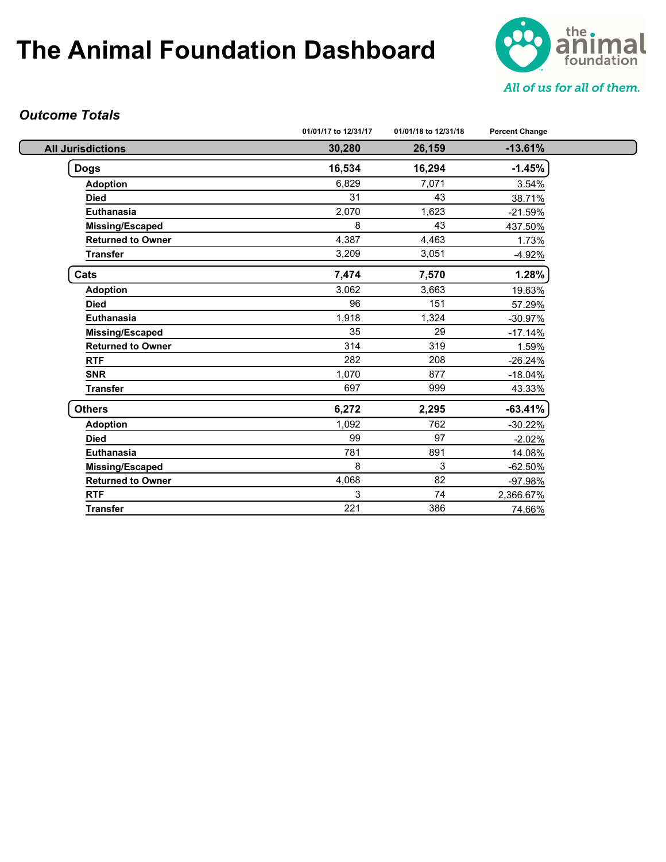

#### *Outcome Totals*

|                          | 01/01/17 to 12/31/17 | 01/01/18 to 12/31/18 | <b>Percent Change</b> |
|--------------------------|----------------------|----------------------|-----------------------|
| <b>All Jurisdictions</b> | 30,280               | 26,159               | $-13.61%$             |
| <b>Dogs</b>              | 16,534               | 16,294               | $-1.45%$              |
| <b>Adoption</b>          | 6,829                | 7,071                | 3.54%                 |
| <b>Died</b>              | 31                   | 43                   | 38.71%                |
| <b>Euthanasia</b>        | 2,070                | 1,623                | $-21.59%$             |
| Missing/Escaped          | 8                    | 43                   | 437.50%               |
| <b>Returned to Owner</b> | 4,387                | 4,463                | 1.73%                 |
| <b>Transfer</b>          | 3,209                | 3,051                | $-4.92%$              |
| Cats                     | 7,474                | 7,570                | 1.28%                 |
| <b>Adoption</b>          | 3,062                | 3,663                | 19.63%                |
| <b>Died</b>              | 96                   | 151                  | 57.29%                |
| <b>Euthanasia</b>        | 1,918                | 1,324                | $-30.97%$             |
| <b>Missing/Escaped</b>   | 35                   | 29                   | $-17.14%$             |
| <b>Returned to Owner</b> | 314                  | 319                  | 1.59%                 |
| <b>RTF</b>               | 282                  | 208                  | $-26.24%$             |
| <b>SNR</b>               | 1,070                | 877                  | $-18.04%$             |
| <b>Transfer</b>          | 697                  | 999                  | 43.33%                |
| <b>Others</b>            | 6,272                | 2,295                | $-63.41%$             |
| <b>Adoption</b>          | 1,092                | 762                  | $-30.22%$             |
| <b>Died</b>              | 99                   | 97                   | $-2.02%$              |
| <b>Euthanasia</b>        | 781                  | 891                  | 14.08%                |
| <b>Missing/Escaped</b>   | 8                    | 3                    | $-62.50%$             |
| <b>Returned to Owner</b> | 4,068                | 82                   | -97.98%               |
| <b>RTF</b>               | 3                    | 74                   | 2,366.67%             |
| <b>Transfer</b>          | 221                  | 386                  | 74.66%                |
|                          |                      |                      |                       |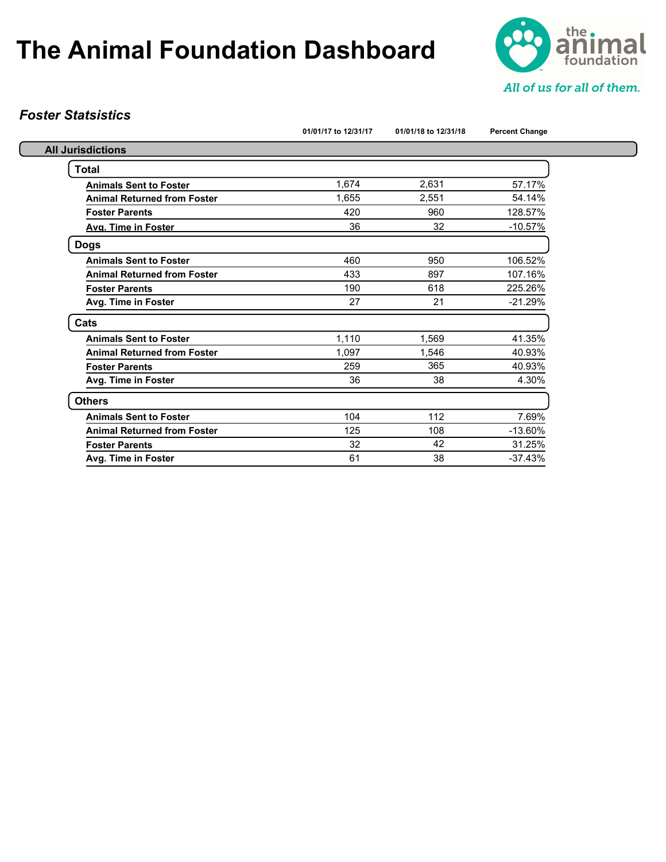

#### *Foster Statsistics*

|                                    | 01/01/17 to 12/31/17 | 01/01/18 to 12/31/18 | <b>Percent Change</b> |
|------------------------------------|----------------------|----------------------|-----------------------|
| <b>All Jurisdictions</b>           |                      |                      |                       |
| Total                              |                      |                      |                       |
| <b>Animals Sent to Foster</b>      | 1,674                | 2,631                | 57.17%                |
| <b>Animal Returned from Foster</b> | 1.655                | 2.551                | 54.14%                |
| <b>Foster Parents</b>              | 420                  | 960                  | 128.57%               |
| Avg. Time in Foster                | 36                   | 32                   | $-10.57%$             |
| <b>Dogs</b>                        |                      |                      |                       |
| <b>Animals Sent to Foster</b>      | 460                  | 950                  | 106.52%               |
| <b>Animal Returned from Foster</b> | 433                  | 897                  | 107.16%               |
| <b>Foster Parents</b>              | 190                  | 618                  | 225.26%               |
| Avg. Time in Foster                | 27                   | 21                   | $-21.29%$             |
| Cats                               |                      |                      |                       |
| <b>Animals Sent to Foster</b>      | 1,110                | 1,569                | 41.35%                |
| <b>Animal Returned from Foster</b> | 1.097                | 1.546                | 40.93%                |
| <b>Foster Parents</b>              | 259                  | 365                  | 40.93%                |
| Avg. Time in Foster                | 36                   | 38                   | 4.30%                 |
| <b>Others</b>                      |                      |                      |                       |
| <b>Animals Sent to Foster</b>      | 104                  | 112                  | 7.69%                 |
| <b>Animal Returned from Foster</b> | 125                  | 108                  | $-13.60%$             |
| <b>Foster Parents</b>              | 32                   | 42                   | 31.25%                |
| Avg. Time in Foster                | 61                   | 38                   | $-37.43%$             |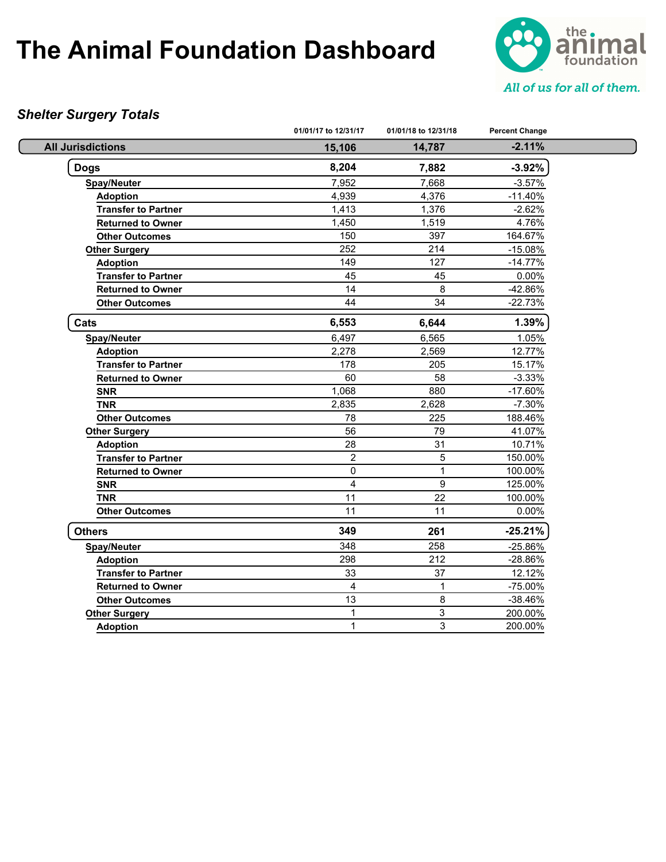

#### *Shelter Surgery Totals*

|                            | 01/01/17 to 12/31/17 | 01/01/18 to 12/31/18 | <b>Percent Change</b> |  |
|----------------------------|----------------------|----------------------|-----------------------|--|
| <b>All Jurisdictions</b>   | 15,106               | 14,787               | $-2.11%$              |  |
| <b>Dogs</b>                | 8,204                | 7,882                | $-3.92%$              |  |
| <b>Spay/Neuter</b>         | 7,952                | 7,668                | $-3.57%$              |  |
| <b>Adoption</b>            | 4,939                | 4,376                | $-11.40%$             |  |
| <b>Transfer to Partner</b> | 1,413                | 1,376                | $-2.62%$              |  |
| <b>Returned to Owner</b>   | 1,450                | 1,519                | 4.76%                 |  |
| <b>Other Outcomes</b>      | 150                  | 397                  | 164.67%               |  |
| <b>Other Surgery</b>       | 252                  | 214                  | $-15.08%$             |  |
| <b>Adoption</b>            | 149                  | 127                  | $-14.77%$             |  |
| <b>Transfer to Partner</b> | 45                   | 45                   | 0.00%                 |  |
| <b>Returned to Owner</b>   | 14                   | 8                    | -42.86%               |  |
| <b>Other Outcomes</b>      | 44                   | 34                   | $-22.73%$             |  |
| Cats                       | 6,553                | 6,644                | 1.39%                 |  |
| <b>Spay/Neuter</b>         | 6,497                | 6,565                | 1.05%                 |  |
| <b>Adoption</b>            | 2,278                | 2,569                | 12.77%                |  |
| <b>Transfer to Partner</b> | 178                  | 205                  | 15.17%                |  |
| <b>Returned to Owner</b>   | 60                   | 58                   | $-3.33%$              |  |
| <b>SNR</b>                 | 1,068                | 880                  | $-17.60%$             |  |
| <b>TNR</b>                 | 2,835                | 2,628                | $-7.30%$              |  |
| <b>Other Outcomes</b>      | 78                   | 225                  | 188.46%               |  |
| <b>Other Surgery</b>       | 56                   | 79                   | 41.07%                |  |
| <b>Adoption</b>            | 28                   | 31                   | 10.71%                |  |
| <b>Transfer to Partner</b> | $\overline{c}$       | 5                    | 150.00%               |  |
| <b>Returned to Owner</b>   | 0                    | $\mathbf{1}$         | 100.00%               |  |
| <b>SNR</b>                 | 4                    | 9                    | 125.00%               |  |
| <b>TNR</b>                 | 11                   | 22                   | 100.00%               |  |
| <b>Other Outcomes</b>      | 11                   | 11                   | 0.00%                 |  |
| <b>Others</b>              | 349                  | 261                  | $-25.21%$             |  |
| <b>Spay/Neuter</b>         | 348                  | 258                  | -25.86%               |  |
| <b>Adoption</b>            | 298                  | 212                  | -28.86%               |  |
| <b>Transfer to Partner</b> | 33                   | 37                   | 12.12%                |  |
| <b>Returned to Owner</b>   | $\overline{4}$       | 1                    | -75.00%               |  |
| <b>Other Outcomes</b>      | 13                   | 8                    | -38.46%               |  |
| <b>Other Surgery</b>       | $\mathbf{1}$         | 3                    | 200.00%               |  |
| <b>Adoption</b>            | $\mathbf{1}$         | 3                    | 200.00%               |  |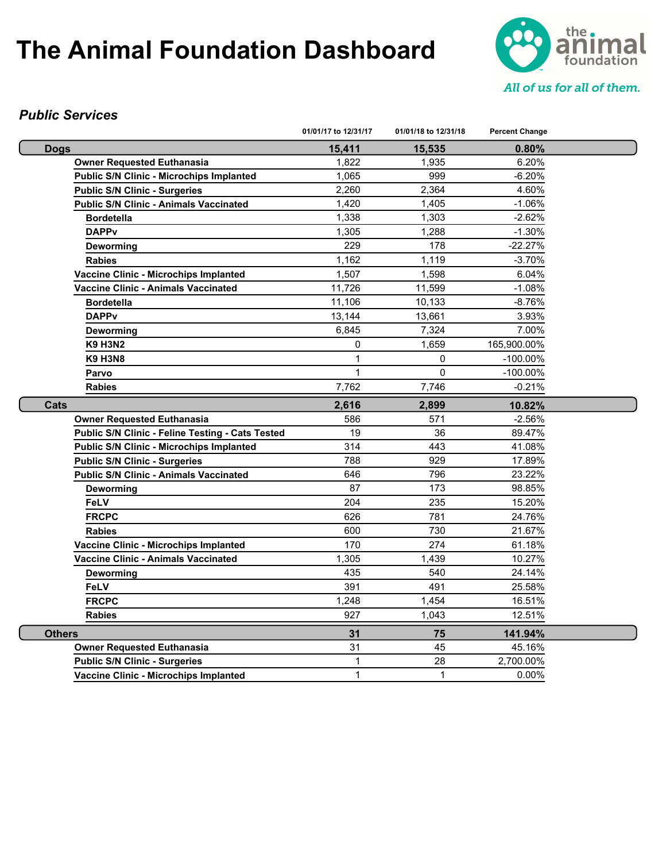

#### *Public Services*

|                                                         | 01/01/17 to 12/31/17 | 01/01/18 to 12/31/18 | <b>Percent Change</b> |  |
|---------------------------------------------------------|----------------------|----------------------|-----------------------|--|
| <b>Dogs</b>                                             | 15,411               | 15,535               | 0.80%                 |  |
| <b>Owner Requested Euthanasia</b>                       | 1,822                | 1,935                | 6.20%                 |  |
| Public S/N Clinic - Microchips Implanted                | 1,065                | 999                  | $-6.20%$              |  |
| <b>Public S/N Clinic - Surgeries</b>                    | 2,260                | 2,364                | 4.60%                 |  |
| <b>Public S/N Clinic - Animals Vaccinated</b>           | 1,420                | 1,405                | $-1.06\%$             |  |
| <b>Bordetella</b>                                       | 1,338                | 1,303                | $-2.62%$              |  |
| <b>DAPPv</b>                                            | 1,305                | 1,288                | $-1.30%$              |  |
| Deworming                                               | 229                  | 178                  | -22.27%               |  |
| <b>Rabies</b>                                           | 1,162                | 1,119                | $-3.70%$              |  |
| <b>Vaccine Clinic - Microchips Implanted</b>            | 1,507                | 1,598                | 6.04%                 |  |
| <b>Vaccine Clinic - Animals Vaccinated</b>              | 11,726               | 11,599               | $-1.08%$              |  |
| <b>Bordetella</b>                                       | 11,106               | 10,133               | $-8.76%$              |  |
| <b>DAPPv</b>                                            | 13,144               | 13,661               | 3.93%                 |  |
| Deworming                                               | 6,845                | 7,324                | 7.00%                 |  |
| <b>K9 H3N2</b>                                          | 0                    | 1,659                | 165,900.00%           |  |
| <b>K9 H3N8</b>                                          | 1                    | 0                    | $-100.00\%$           |  |
| Parvo                                                   | $\mathbf{1}$         | $\Omega$             | $-100.00\%$           |  |
| <b>Rabies</b>                                           | 7,762                | 7,746                | $-0.21%$              |  |
| Cats                                                    | 2,616                | 2,899                | 10.82%                |  |
| <b>Owner Requested Euthanasia</b>                       | 586                  | 571                  | $-2.56\%$             |  |
| <b>Public S/N Clinic - Feline Testing - Cats Tested</b> | 19                   | 36                   | 89.47%                |  |
| <b>Public S/N Clinic - Microchips Implanted</b>         | 314                  | 443                  | 41.08%                |  |
| <b>Public S/N Clinic - Surgeries</b>                    | 788                  | 929                  | 17.89%                |  |
| <b>Public S/N Clinic - Animals Vaccinated</b>           | 646                  | 796                  | 23.22%                |  |
| Deworming                                               | 87                   | 173                  | 98.85%                |  |
| FeLV                                                    | 204                  | 235                  | 15.20%                |  |
| <b>FRCPC</b>                                            | 626                  | 781                  | 24.76%                |  |
| <b>Rabies</b>                                           | 600                  | 730                  | 21.67%                |  |
| <b>Vaccine Clinic - Microchips Implanted</b>            | 170                  | 274                  | 61.18%                |  |
| Vaccine Clinic - Animals Vaccinated                     | 1,305                | 1,439                | 10.27%                |  |
| Deworming                                               | 435                  | 540                  | 24.14%                |  |
| <b>FeLV</b>                                             | 391                  | 491                  | 25.58%                |  |
| <b>FRCPC</b>                                            | 1,248                | 1,454                | 16.51%                |  |
| <b>Rabies</b>                                           | 927                  | 1,043                | 12.51%                |  |
| <b>Others</b>                                           | 31                   | 75                   | 141.94%               |  |
| <b>Owner Requested Euthanasia</b>                       | 31                   | 45                   | 45.16%                |  |
| <b>Public S/N Clinic - Surgeries</b>                    | 1                    | 28                   | 2,700.00%             |  |
| Vaccine Clinic - Microchips Implanted                   | $\mathbf{1}$         | $\mathbf{1}$         | 0.00%                 |  |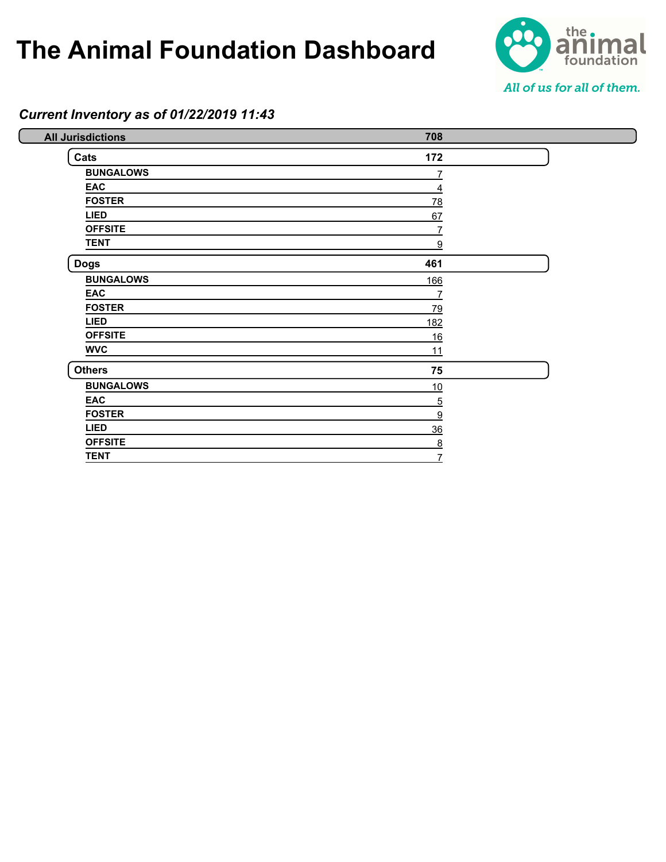

#### *Current Inventory as of 01/22/2019 11:43*

| <b>All Jurisdictions</b> | 708        |  |
|--------------------------|------------|--|
| Cats                     | 172        |  |
| <b>BUNGALOWS</b>         | 7          |  |
| <b>EAC</b>               | 4          |  |
| <b>FOSTER</b>            | 78         |  |
| <b>LIED</b>              | 67         |  |
| <b>OFFSITE</b>           |            |  |
| <b>TENT</b>              | 9          |  |
| <b>Dogs</b>              | 461        |  |
| <b>BUNGALOWS</b>         | <u>166</u> |  |
| EAC                      | 7          |  |
| <b>FOSTER</b>            | 79         |  |
| <b>LIED</b>              | <u>182</u> |  |
| <b>OFFSITE</b>           | 16         |  |
| <b>WVC</b>               | 11         |  |
| <b>Others</b>            | 75         |  |
| <b>BUNGALOWS</b>         | 10         |  |
| EAC                      | <u>5</u>   |  |
| <b>FOSTER</b>            | 9          |  |
| <b>LIED</b>              | 36         |  |
| <b>OFFSITE</b>           | 8          |  |
| <b>TENT</b>              |            |  |
|                          |            |  |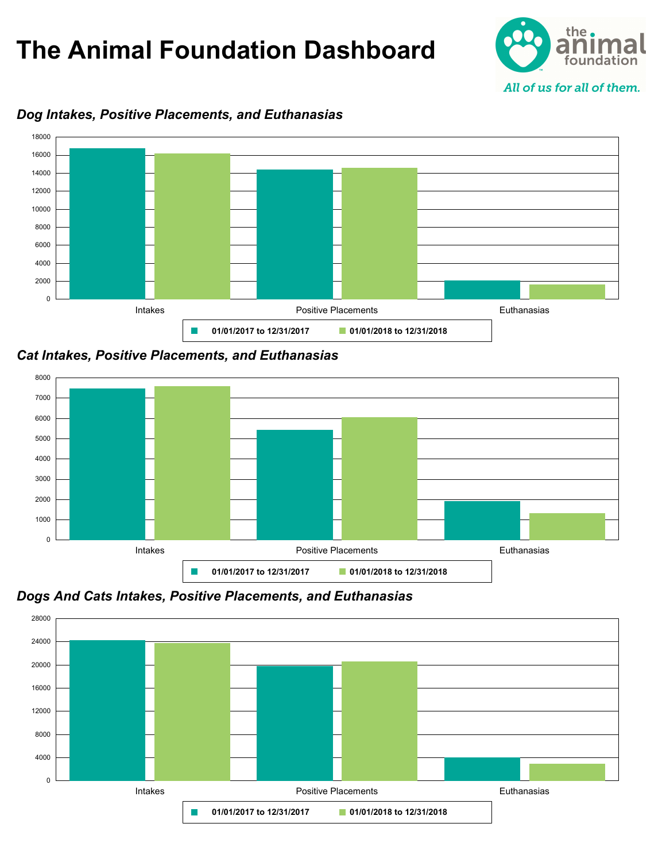



#### *Dog Intakes, Positive Placements, and Euthanasias*

*Cat Intakes, Positive Placements, and Euthanasias*



*Dogs And Cats Intakes, Positive Placements, and Euthanasias*

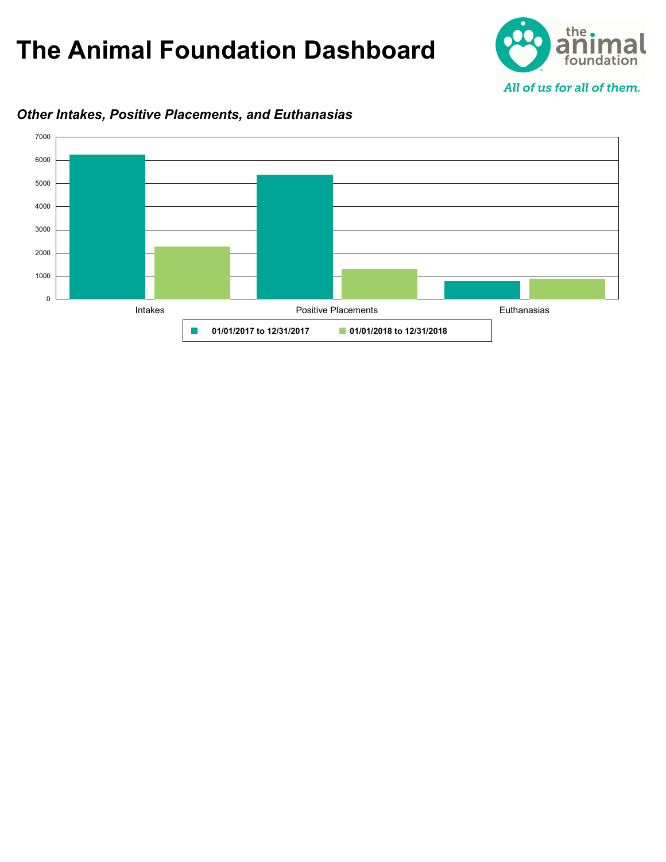



#### *Other Intakes, Positive Placements, and Euthanasias*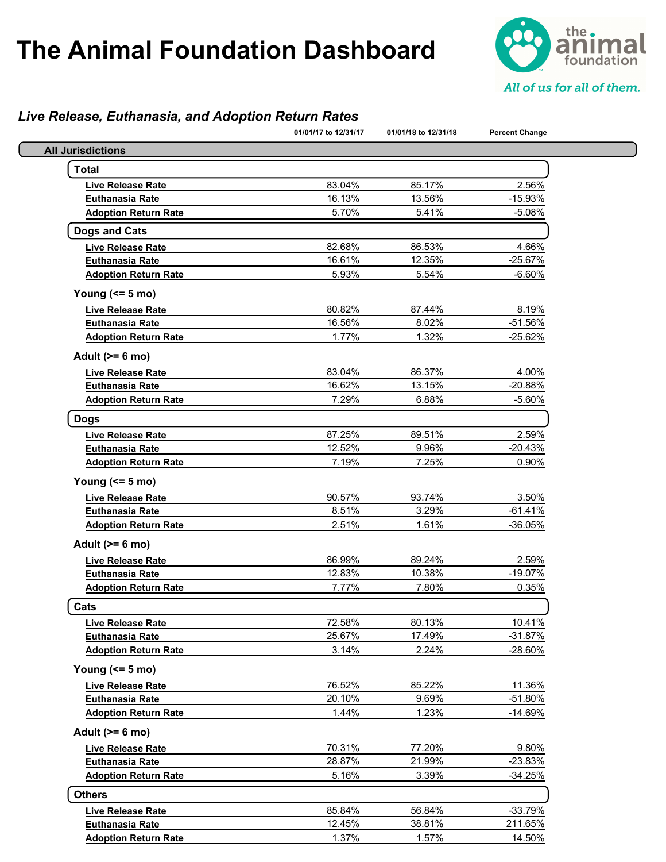

#### *Live Release, Euthanasia, and Adoption Return Rates*

|                             | 01/01/17 to 12/31/17 | 01/01/18 to 12/31/18 | <b>Percent Change</b> |
|-----------------------------|----------------------|----------------------|-----------------------|
| <b>All Jurisdictions</b>    |                      |                      |                       |
| <b>Total</b>                |                      |                      |                       |
| Live Release Rate           | 83.04%               | 85.17%               | 2.56%                 |
| <b>Euthanasia Rate</b>      | 16.13%               | 13.56%               | $-15.93%$             |
| <b>Adoption Return Rate</b> | 5.70%                | 5.41%                | $-5.08%$              |
| <b>Dogs and Cats</b>        |                      |                      |                       |
| <b>Live Release Rate</b>    | 82.68%               | 86.53%               | 4.66%                 |
| <b>Euthanasia Rate</b>      | 16.61%               | 12.35%               | $-25.67%$             |
| <b>Adoption Return Rate</b> | 5.93%                | 5.54%                | $-6.60%$              |
| Young $(55 m)$              |                      |                      |                       |
| <b>Live Release Rate</b>    | 80.82%               | 87.44%               | 8.19%                 |
| <b>Euthanasia Rate</b>      | 16.56%               | 8.02%                | $-51.56%$             |
| <b>Adoption Return Rate</b> | 1.77%                | 1.32%                | $-25.62%$             |
| Adult $(>= 6$ mo)           |                      |                      |                       |
| <b>Live Release Rate</b>    | 83.04%               | 86.37%               | 4.00%                 |
| <b>Euthanasia Rate</b>      | 16.62%               | 13.15%               | -20.88%               |
| <b>Adoption Return Rate</b> | 7.29%                | 6.88%                | $-5.60%$              |
| <b>Dogs</b>                 |                      |                      |                       |
| <b>Live Release Rate</b>    | 87.25%               | 89.51%               | 2.59%                 |
| <b>Euthanasia Rate</b>      | 12.52%               | 9.96%                | $-20.43%$             |
| <b>Adoption Return Rate</b> | 7.19%                | 7.25%                | 0.90%                 |
| Young $(55 \text{ mo})$     |                      |                      |                       |
| <b>Live Release Rate</b>    | 90.57%               | 93.74%               | 3.50%                 |
| <b>Euthanasia Rate</b>      | 8.51%                | 3.29%                | $-61.41%$             |
| <b>Adoption Return Rate</b> | 2.51%                | 1.61%                | $-36.05%$             |
| Adult $(>= 6$ mo)           |                      |                      |                       |
| <b>Live Release Rate</b>    | 86.99%               | 89.24%               | 2.59%                 |
| <b>Euthanasia Rate</b>      | 12.83%               | 10.38%               | $-19.07%$             |
| <b>Adoption Return Rate</b> | 7.77%                | 7.80%                | 0.35%                 |
| Cats                        |                      |                      |                       |
| Live Release Rate           | 72.58%               | 80.13%               | 10.41%                |
| <b>Euthanasia Rate</b>      | 25.67%               | 17.49%               | $-31.87%$             |
| <b>Adoption Return Rate</b> | 3.14%                | 2.24%                | $-28.60%$             |
| Young $(55 m)$              |                      |                      |                       |
| <b>Live Release Rate</b>    | 76.52%               | 85.22%               | 11.36%                |
| <b>Euthanasia Rate</b>      | 20.10%               | 9.69%                | -51.80%               |
| <b>Adoption Return Rate</b> | 1.44%                | 1.23%                | $-14.69%$             |
| Adult $(>= 6$ mo)           |                      |                      |                       |
| <b>Live Release Rate</b>    | 70.31%               | 77.20%               | 9.80%                 |
| <b>Euthanasia Rate</b>      | 28.87%               | 21.99%               | $-23.83%$             |
| <b>Adoption Return Rate</b> | 5.16%                | 3.39%                | -34.25%               |
| <b>Others</b>               |                      |                      |                       |
| <b>Live Release Rate</b>    | 85.84%               | 56.84%               | $-33.79%$             |
| <b>Euthanasia Rate</b>      | 12.45%               | 38.81%               | 211.65%               |
| <b>Adoption Return Rate</b> | 1.37%                | 1.57%                | 14.50%                |